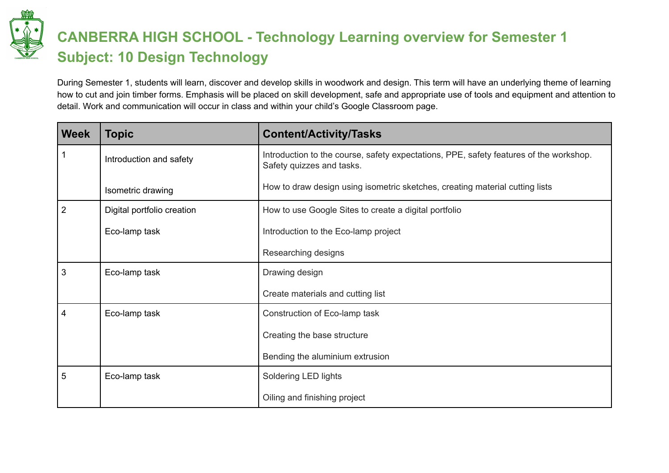

## **CANBERRA HIGH SCHOOL - Technology Learning overview for Semester 1 Subject: 10 Design Technology**

During Semester 1, students will learn, discover and develop skills in woodwork and design. This term will have an underlying theme of learning how to cut and join timber forms. Emphasis will be placed on skill development, safe and appropriate use of tools and equipment and attention to detail. Work and communication will occur in class and within your child's Google Classroom page.

| <b>Week</b>    | <b>Topic</b>               | <b>Content/Activity/Tasks</b>                                                                                       |
|----------------|----------------------------|---------------------------------------------------------------------------------------------------------------------|
|                | Introduction and safety    | Introduction to the course, safety expectations, PPE, safety features of the workshop.<br>Safety quizzes and tasks. |
|                | Isometric drawing          | How to draw design using isometric sketches, creating material cutting lists                                        |
| $\overline{2}$ | Digital portfolio creation | How to use Google Sites to create a digital portfolio                                                               |
|                | Eco-lamp task              | Introduction to the Eco-lamp project                                                                                |
|                |                            | Researching designs                                                                                                 |
| 3              | Eco-lamp task              | Drawing design                                                                                                      |
|                |                            | Create materials and cutting list                                                                                   |
| 4              | Eco-lamp task              | Construction of Eco-lamp task                                                                                       |
|                |                            | Creating the base structure                                                                                         |
|                |                            | Bending the aluminium extrusion                                                                                     |
| 5              | Eco-lamp task              | Soldering LED lights                                                                                                |
|                |                            | Oiling and finishing project                                                                                        |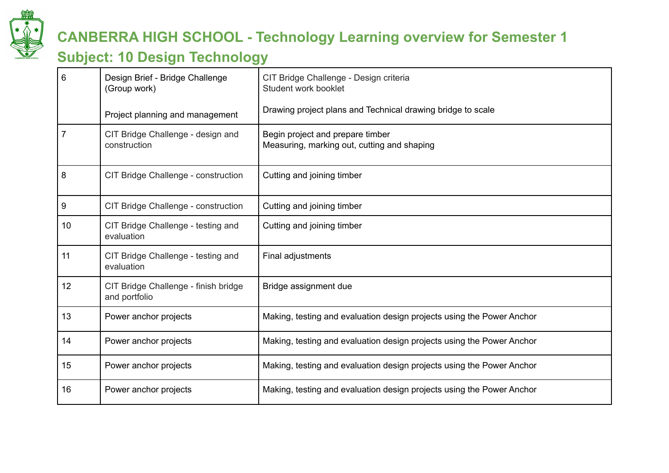

### **CANBERRA HIGH SCHOOL - Technology Learning overview for Semester 1**

#### **Subject: 10 Design Technology**

| 6  | Design Brief - Bridge Challenge<br>(Group work)       | CIT Bridge Challenge - Design criteria<br>Student work booklet                  |
|----|-------------------------------------------------------|---------------------------------------------------------------------------------|
|    | Project planning and management                       | Drawing project plans and Technical drawing bridge to scale                     |
| 7  | CIT Bridge Challenge - design and<br>construction     | Begin project and prepare timber<br>Measuring, marking out, cutting and shaping |
| 8  | CIT Bridge Challenge - construction                   | Cutting and joining timber                                                      |
| 9  | CIT Bridge Challenge - construction                   | Cutting and joining timber                                                      |
| 10 | CIT Bridge Challenge - testing and<br>evaluation      | Cutting and joining timber                                                      |
| 11 | CIT Bridge Challenge - testing and<br>evaluation      | Final adjustments                                                               |
| 12 | CIT Bridge Challenge - finish bridge<br>and portfolio | Bridge assignment due                                                           |
| 13 | Power anchor projects                                 | Making, testing and evaluation design projects using the Power Anchor           |
| 14 | Power anchor projects                                 | Making, testing and evaluation design projects using the Power Anchor           |
| 15 | Power anchor projects                                 | Making, testing and evaluation design projects using the Power Anchor           |
| 16 | Power anchor projects                                 | Making, testing and evaluation design projects using the Power Anchor           |